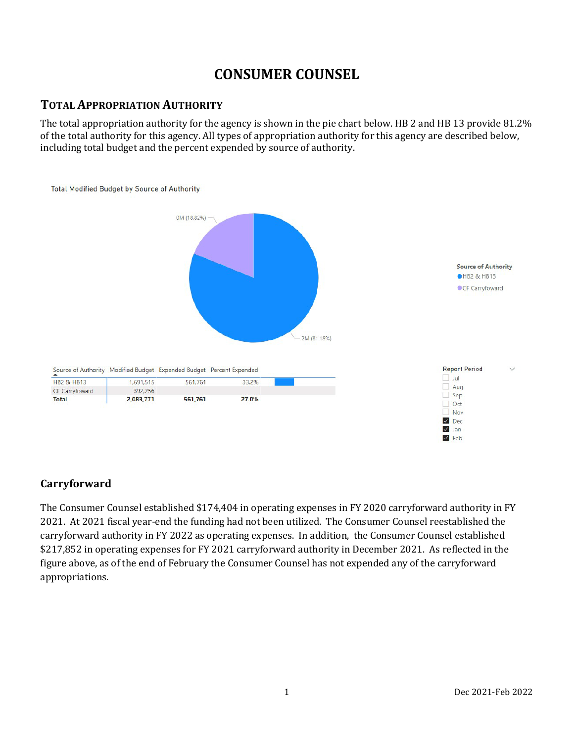# **CONSUMER COUNSEL**

# **TOTAL APPROPRIATION AUTHORITY**

The total appropriation authority for the agency is shown in the pie chart below. HB 2 and HB 13 provide 81.2% of the total authority for this agency. All types of appropriation authority for this agency are described below, including total budget and the percent expended by source of authority.



## **Carryforward**

The Consumer Counsel established \$174,404 in operating expenses in FY 2020 carryforward authority in FY 2021. At 2021 fiscal year-end the funding had not been utilized. The Consumer Counsel reestablished the carryforward authority in FY 2022 as operating expenses. In addition, the Consumer Counsel established \$217,852 in operating expenses for FY 2021 carryforward authority in December 2021. As reflected in the figure above, as of the end of February the Consumer Counsel has not expended any of the carryforward appropriations.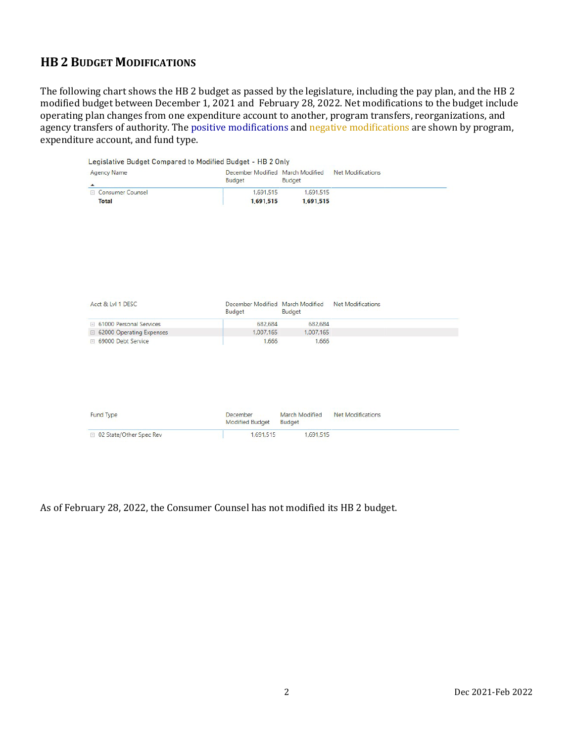# **HB 2 BUDGET MODIFICATIONS**

The following chart shows the HB 2 budget as passed by the legislature, including the pay plan, and the HB 2 modified budget between December 1, 2021 and February 28, 2022. Net modifications to the budget include operating plan changes from one expenditure account to another, program transfers, reorganizations, and agency transfers of authority. The positive modifications and negative modifications are shown by program, expenditure account, and fund type.

| <b>Agency Name</b><br>$\blacktriangle$ | December Modified March Modified<br><b>Budget</b> | Budget                   | <b>Net Modifications</b> |
|----------------------------------------|---------------------------------------------------|--------------------------|--------------------------|
| E Consumer Counsel                     | 1,691,515                                         | 1,691,515                |                          |
| <b>Total</b>                           | 1,691,515                                         | 1,691,515                |                          |
| Acct & Lvl 1 DESC                      | December Modified March Modified                  |                          | <b>Net Modifications</b> |
|                                        | <b>Budget</b>                                     | Budget                   |                          |
| <b>El 61000 Personal Services</b>      | 682,684                                           | 682,684                  |                          |
| □ 62000 Operating Expenses             | 1,007,165                                         | 1,007,165                |                          |
|                                        |                                                   |                          |                          |
| ⊞ 69000 Debt Service                   | 1.666                                             | 1.666                    |                          |
| Fund Type                              | <b>December</b><br><b>Modified Budget</b>         | March Modified<br>Budget | <b>Net Modifications</b> |

#### As of February 28, 2022, the Consumer Counsel has not modified its HB 2 budget.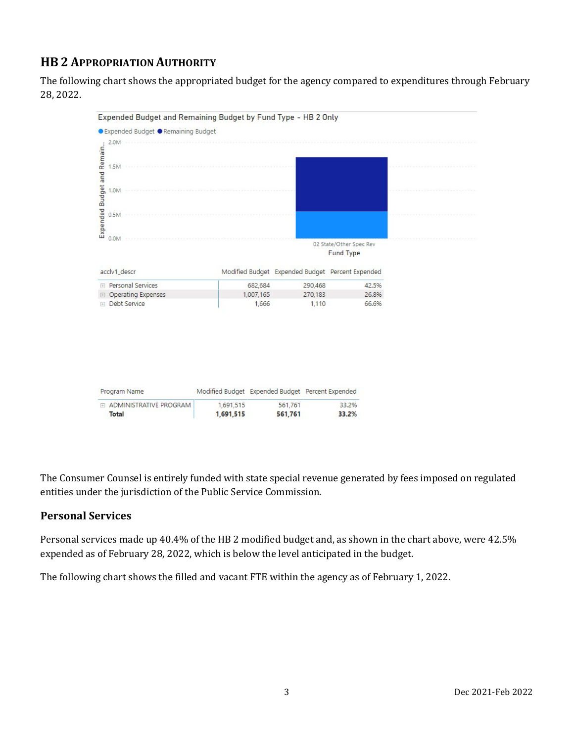# **HB 2 APPROPRIATION AUTHORITY**

The following chart shows the appropriated budget for the agency compared to expenditures through February 28, 2022.



The Consumer Counsel is entirely funded with state special revenue generated by fees imposed on regulated entities under the jurisdiction of the Public Service Commission.

#### **Personal Services**

Personal services made up 40.4% of the HB 2 modified budget and, as shown in the chart above, were 42.5% expended as of February 28, 2022, which is below the level anticipated in the budget.

The following chart shows the filled and vacant FTE within the agency as of February 1, 2022.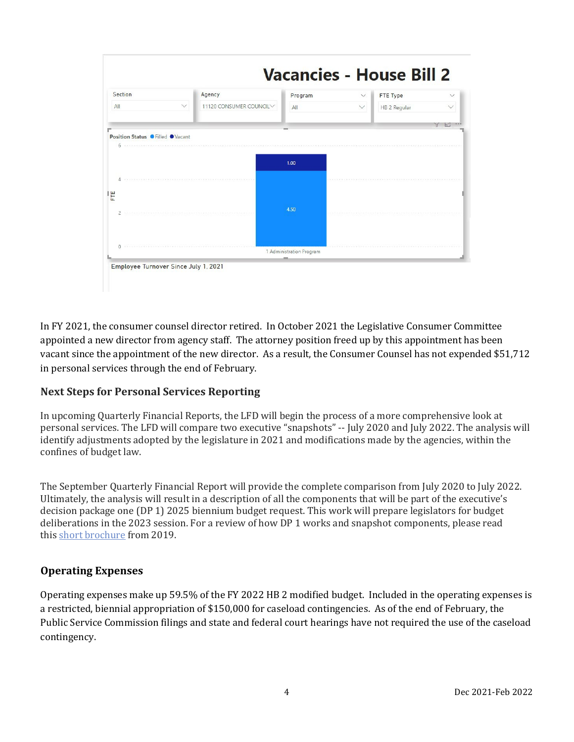

In FY 2021, the consumer counsel director retired. In October 2021 the Legislative Consumer Committee appointed a new director from agency staff. The attorney position freed up by this appointment has been vacant since the appointment of the new director. As a result, the Consumer Counsel has not expended \$51,712 in personal services through the end of February.

## **Next Steps for Personal Services Reporting**

In upcoming Quarterly Financial Reports, the LFD will begin the process of a more comprehensive look at personal services. The LFD will compare two executive "snapshots" -- July 2020 and July 2022. The analysis will identify adjustments adopted by the legislature in 2021 and modifications made by the agencies, within the confines of budget law.

The September Quarterly Financial Report will provide the complete comparison from July 2020 to July 2022. Ultimately, the analysis will result in a description of all the components that will be part of the executive's decision package one (DP 1) 2025 biennium budget request. This work will prepare legislators for budget deliberations in the 2023 session. For a review of how DP 1 works and snapshot components, please read this [short brochure](https://montana.maps.arcgis.com/apps/Cascade/index.html?appid=23095fcf15754f4fb38b63c58a884b97) from 2019.

## **Operating Expenses**

Operating expenses make up 59.5% of the FY 2022 HB 2 modified budget. Included in the operating expenses is a restricted, biennial appropriation of \$150,000 for caseload contingencies. As of the end of February, the Public Service Commission filings and state and federal court hearings have not required the use of the caseload contingency.